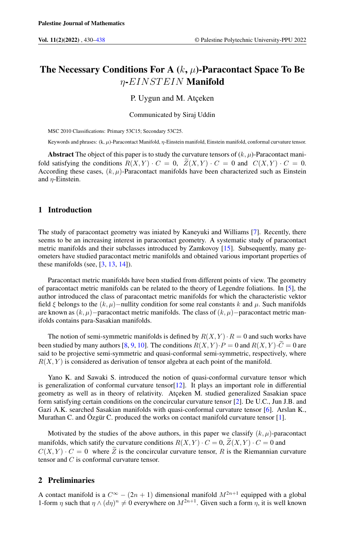# The Necessary Conditions For A  $(k, \mu)$ -Paracontact Space To Be η-EINST EIN Manifold

# P. Uygun and M. Atçeken

Communicated by Siraj Uddin

MSC 2010 Classifications: Primary 53C15; Secondary 53C25.

Keywords and phrases:  $(k, \mu)$ -Paracontact Manifold,  $\eta$ -Einstein manifold, Einstein manifold, conformal curvature tensor.

Abstract The object of this paper is to study the curvature tensors of  $(k, \mu)$ -Paracontact manifold satisfying the conditions  $R(X, Y) \cdot C = 0$ ,  $\tilde{Z}(X, Y) \cdot C = 0$  and  $C(X, Y) \cdot C = 0$ . According these cases,  $(k, \mu)$ -Paracontact manifolds have been characterized such as Einstein and  $n$ -Einstein.

# 1 Introduction

The study of paracontact geometry was iniated by Kaneyuki and Williams [\[7\]](#page-7-1). Recently, there seems to be an increasing interest in paracontact geometry. A systematic study of paracontact metric manifolds and their subclasses introduced by Zamkovoy [\[15\]](#page-8-0). Subsequently, many geometers have studied paracontact metric manifolds and obtained various important properties of these manifolds (see,  $[3, 13, 14]$  $[3, 13, 14]$  $[3, 13, 14]$  $[3, 13, 14]$  $[3, 13, 14]$ ).

Paracontact metric manifolds have been studied from different points of view. The geometry of paracontact metric manifolds can be related to the theory of Legendre foliations. In [\[5\]](#page-7-3), the author introduced the class of paracontact metric manifolds for which the characteristic vektor field  $\xi$  belongs to the  $(k, \mu)$ −nullity condition for some real constants k and  $\mu$ . Such manifolds are known as  $(k, \mu)$ −paracontact metric manifolds. The class of  $(k, \mu)$ −paracontact metric manifolds contains para-Sasakian manifolds.

The notion of semi-symmetric manifolds is defined by  $R(X, Y) \cdot R = 0$  and such works have been studied by many authors [\[8,](#page-7-4) [9,](#page-8-3) [10\]](#page-8-4). The conditions  $R(X, Y) \cdot P = 0$  and  $R(X, Y) \cdot \widetilde{C} = 0$  are said to be projective semi-symmetric and quasi-conformal semi-symmetric, respectively, where  $R(X, Y)$  is considered as derivation of tensor algebra at each point of the manifold.

Yano K. and Sawaki S. introduced the notion of quasi-conformal curvature tensor which is generalization of conformal curvature tensor $[12]$ . It plays an important role in differential geometry as well as in theory of relativity. Atçeken M. studied generalized Sasakian space form satisfying certain conditions on the concircular curvature tensor [\[2\]](#page-7-5). De U.C., Jun J.B. and Gazi A.K. searched Sasakian manifolds with quasi-conformal curvature tensor [\[6\]](#page-7-6). Arslan K., Murathan C. and Özgür C. produced the works on contact manifold curvature tensor [\[1\]](#page-7-7).

Motivated by the studies of the above authors, in this paper we classify  $(k, \mu)$ -paracontact manifolds, which satify the curvature conditions  $R(X, Y) \cdot C = 0$ ,  $\tilde{Z}(X, Y) \cdot C = 0$  and  $C(X, Y) \cdot C = 0$  where Z is the concircular curvature tensor, R is the Riemannian curvature tensor and C is conformal curvature tensor.

### 2 Preliminaries

A contact manifold is a  $C^{\infty} - (2n + 1)$  dimensional manifold  $M^{2n+1}$  equipped with a global 1-form  $\eta$  such that  $\eta \wedge (d\eta)^n \neq 0$  everywhere on  $M^{2n+1}$ . Given such a form  $\eta$ , it is well known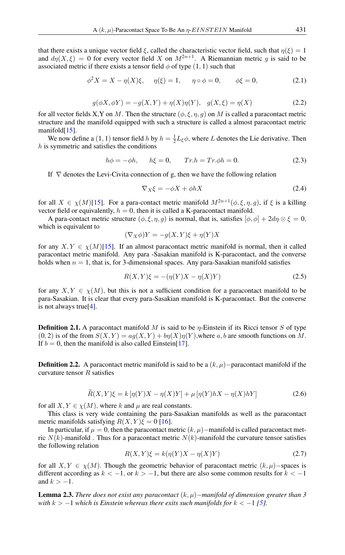that there exists a unique vector field  $\xi$ , called the characteristic vector field, such that  $\eta(\xi) = 1$ and  $d\eta(X,\xi) = 0$  for every vector field X on  $M^{2n+1}$ . A Riemannian metric g is said to be associated metric if there exists a tensor field  $\phi$  of type  $(1, 1)$  such that

$$
\phi^2 X = X - \eta(X)\xi, \quad \eta(\xi) = 1, \quad \eta \circ \phi = 0, \quad \phi\xi = 0,
$$
\n(2.1)

<span id="page-1-1"></span>
$$
g(\phi X, \phi Y) = -g(X, Y) + \eta(X)\eta(Y), \quad g(X, \xi) = \eta(X)
$$
\n(2.2)

for all vector fields X,Y on M. Then the structure  $(\phi, \xi, \eta, g)$  on M is called a paracontact metric structure and the manifold equipped with such a structure is called a almost paracontact metric manifold[\[15\]](#page-8-0).

We now define a  $(1, 1)$  tensor field h by  $h = \frac{1}{2}L_{\xi}\phi$ , where L denotes the Lie derivative. Then  $h$  is symmetric and satisfies the conditions

$$
h\phi = -\phi h, \quad h\xi = 0, \quad Tr.h = Tr.\phi h = 0. \tag{2.3}
$$

If  $\nabla$  denotes the Levi-Civita connection of g, then we have the following relation

$$
\nabla_X \xi = -\phi X + \phi h X \tag{2.4}
$$

for all  $X \in \chi(M)$ [\[15\]](#page-8-0). For a para-contact metric manifold  $M^{2n+1}(\phi, \xi, \eta, g)$ , if  $\xi$  is a killing vector field or equivalently,  $h = 0$ , then it is called a K-paracontact manifold.

A para-contact metric structure  $(\phi, \xi, \eta, g)$  is normal, that is, satisfies  $[\phi, \phi] + 2d\eta \otimes \xi = 0$ , which is equivalent to

$$
(\nabla_X \phi)Y = -g(X, Y)\xi + \eta(Y)X
$$

for any  $X, Y \in \chi(M)[15]$  $X, Y \in \chi(M)[15]$ . If an almost paracontact metric manifold is normal, then it called paracontact metric manifold. Any para -Sasakian manifold is K-paracontact, and the converse holds when  $n = 1$ , that is, for 3-dimensional spaces. Any para-Sasakian manifold satisfies

$$
R(X,Y)\xi = -(\eta(Y)X - \eta(X)Y)
$$
\n(2.5)

for any  $X, Y \in \chi(M)$ , but this is not a sufficient condition for a paracontact manifold to be para-Sasakian. It is clear that every para-Sasakian manifold is K-paracontact. But the converse is not always true[\[4\]](#page-7-8).

**Definition 2.1.** A paracontact manifold M is said to be  $\eta$ -Einstein if its Ricci tensor S of type  $(0, 2)$  is of the from  $S(X, Y) = a g(X, Y) + b g(Y) g(Y)$ , where a, b are smooth functions on M. If  $b = 0$ , then the manifold is also called Einstein[\[17\]](#page-8-6).

<span id="page-1-0"></span>**Definition 2.2.** A paracontact metric manifold is said to be a  $(k, \mu)$ −paracontact manifold if the curvature tensor  $R$  satisfies

$$
\widetilde{R}(X,Y)\xi = k\left[\eta(Y)X - \eta(X)Y\right] + \mu\left[\eta(Y)hX - \eta(X)hY\right]
$$
\n(2.6)

for all  $X, Y \in \chi(M)$ , where k and  $\mu$  are real constants.

 $\sim$ 

This class is very wide containing the para-Sasakian manifolds as well as the paracontact metric manifolds satisfying  $R(X, Y) \xi = 0$  [\[16\]](#page-8-7).

In particular, if  $\mu = 0$ , then the paracontact metric  $(k, \mu)$ −manifold is called paracontact metric  $N(k)$ -manifold . Thus for a paracontact metric  $N(k)$ -manifold the curvature tensor satisfies the following relation

$$
R(X,Y)\xi = k(\eta(Y)X - \eta(X)Y)
$$
\n(2.7)

for all  $X, Y \in \chi(M)$ . Though the geometric behavior of paracontact metric  $(k, \mu)$ –spaces is different according as  $k < -1$ , or  $k > -1$ , but there are also some common results for  $k < -1$ and  $k > -1$ .

Lemma 2.3. *There does not exist any paracontact* (k, µ)−*manifold of dimension greater than 3 with*  $k > -1$  *which is Einstein whereas there exits such manifolds for*  $k < -1$  [\[5\]](#page-7-3)*.*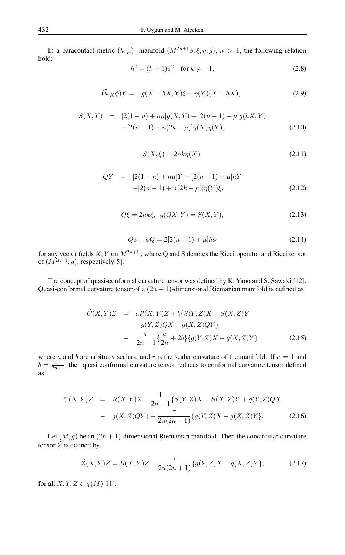<span id="page-2-4"></span>In a paracontact metric  $(k, \mu)$ –manifold  $(M^{2n+1}\phi, \xi, \eta, g)$ ,  $n > 1$ , the following relation hold:

$$
h^2 = (k+1)\phi^2, \text{ for } k \neq -1,
$$
 (2.8)

$$
(\widetilde{\nabla}_X \phi)Y = -g(X - hX, Y)\xi + \eta(Y)(X - hX),\tag{2.9}
$$

<span id="page-2-5"></span><span id="page-2-1"></span>
$$
S(X,Y) = [2(1-n) + n\mu]g(X,Y) + [2(n-1) + \mu]g(hX,Y) + [2(n-1) + n(2k-\mu)]\eta(X)\eta(Y),
$$
\n(2.10)

$$
S(X,\xi) = 2nk\eta(X),\tag{2.11}
$$

<span id="page-2-3"></span>
$$
QY = [2(1-n) + n\mu]Y + [2(n-1) + \mu]hY
$$
  
+[2(n-1) + n(2k - \mu)]\eta(Y)\xi, (2.12)

$$
Q\xi = 2nk\xi, \ \ g(QX, Y) = S(X, Y), \tag{2.13}
$$

$$
Q\phi - \phi Q = 2[2(n-1) + \mu]h\phi
$$
 (2.14)

for any vector fields  $X, Y$  on  $M^{2n+1}$ , where Q and S denotes the Ricci operator and Ricci tensor of  $(M^{2n+1}, g)$ , respectively[\[5\]](#page-7-3).

The concept of quasi-conformal curvature tensor was defined by K. Yano and S. Sawaki [\[12\]](#page-8-5). Quasi-conformal curvature tensor of a  $(2n + 1)$ -dimensional Riemanian manifold is defined as

$$
\widetilde{C}(X,Y)Z = aR(X,Y)Z + b\{S(Y,Z)X - S(X,Z)Y
$$
  
+g(Y,Z)QX - g(X,Z)QY}  

$$
-\frac{\tau}{2n+1}\{\frac{a}{2n} + 2b\}\{g(Y,Z)X - g(X,Z)Y\}
$$
(2.15)

where a and b are arbitrary scalars, and r is the scalar curvature of the manifold. If  $a = 1$  and  $b = \frac{-1}{2n-1}$ , then quasi conformal curvature tensor reduces to conformal curvature tensor defined as

<span id="page-2-0"></span>
$$
C(X,Y)Z = R(X,Y)Z - \frac{1}{2n-1} \{ S(Y,Z)X - S(X,Z)Y + g(Y,Z)QX
$$

$$
- g(X,Z)QY \} + \frac{\tau}{2n(2n-1)} \{ g(Y,Z)X - g(X,Z)Y \}. \tag{2.16}
$$

Let  $(M, g)$  be an  $(2n + 1)$ -dimensional Riemanian manifold. Then the concircular curvature tensor  $\widetilde{Z}$  is defined by

<span id="page-2-2"></span>
$$
\widetilde{Z}(X,Y)Z = R(X,Y)Z - \frac{\tau}{2n(2n+1)}\{g(Y,Z)X - g(X,Z)Y\},\tag{2.17}
$$

for all  $X, Y, Z \in \chi(M)[11]$  $X, Y, Z \in \chi(M)[11]$ .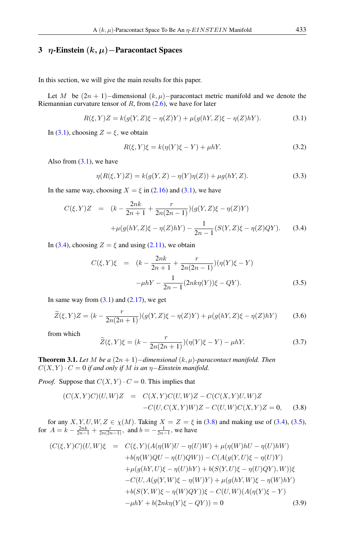# 3 η-Einstein  $(k, \mu)$ –Paracontact Spaces

In this section, we will give the main results for this paper.

Let M be  $(2n + 1)$ −dimensional  $(k, \mu)$ −paracontact metric manifold and we denote the Riemannian curvature tensor of  $R$ , from  $(2.6)$ , we have for later

$$
R(\xi, Y)Z = k(g(Y, Z)\xi - \eta(Z)Y) + \mu(g(hY, Z)\xi - \eta(Z)hY).
$$
 (3.1)

In [\(3.1\)](#page-3-0), choosing  $Z = \xi$ , we obtain

<span id="page-3-0"></span>
$$
R(\xi, Y)\xi = k(\eta(Y)\xi - Y) + \mu hY.
$$
\n(3.2)

Also from  $(3.1)$ , we have

$$
\eta(R(\xi, Y)Z) = k(g(Y, Z) - \eta(Y)\eta(Z)) + \mu g(hY, Z).
$$
\n(3.3)

In the same way, choosing  $X = \xi$  in [\(2.16\)](#page-2-0) and [\(3.1\)](#page-3-0), we have

<span id="page-3-1"></span>
$$
C(\xi, Y)Z = (k - \frac{2nk}{2n+1} + \frac{r}{2n(2n-1)})(g(Y, Z)\xi - \eta(Z)Y)
$$
  
+ 
$$
\mu(g(hY, Z)\xi - \eta(Z)hY) - \frac{1}{2n-1}(S(Y, Z)\xi - \eta(Z)QY).
$$
 (3.4)

In [\(3.4\)](#page-3-1), choosing  $Z = \xi$  and using [\(2.11\)](#page-2-1), we obtain

<span id="page-3-3"></span>
$$
C(\xi, Y)\xi = (k - \frac{2nk}{2n+1} + \frac{r}{2n(2n-1)})(\eta(Y)\xi - Y)
$$

$$
-\mu hY - \frac{1}{2n-1}(2nk\eta(Y))\xi - QY).
$$
(3.5)

In same way from  $(3.1)$  and  $(2.17)$ , we get

$$
\widetilde{Z}(\xi, Y)Z = (k - \frac{r}{2n(2n+1)})(g(Y, Z)\xi - \eta(Z)Y) + \mu(g(hY, Z)\xi - \eta(Z)hY) \tag{3.6}
$$

from which

<span id="page-3-5"></span>
$$
\widetilde{Z}(\xi, Y)\xi = (k - \frac{r}{2n(2n+1)})(\eta(Y)\xi - Y) - \mu hY.
$$
\n(3.7)

**Theorem 3.1.** *Let* M *be a*  $(2n + 1)$ *-dimensional*  $(k, \mu)$ *-paracontact manifold. Then*  $C(X, Y) \cdot C = 0$  *if and only if* M *is an*  $\eta$ –*Einstein manifold.* 

*Proof.* Suppose that  $C(X, Y) \cdot C = 0$ . This implies that

<span id="page-3-2"></span>
$$
(C(X,Y)C)(U,W)Z = C(X,Y)C(U,W)Z - C(C(X,Y)U,W)Z -C(U,C(X,Y)W)Z - C(U,W)C(X,Y)Z = 0,
$$
 (3.8)

for any  $X, Y, U, W, Z \in \chi(M)$ . Taking  $X = Z = \xi$  in [\(3.8\)](#page-3-2) and making use of [\(3.4\)](#page-3-1), [\(3.5\)](#page-3-3), for  $A = k - \frac{2nk}{2n-1} + \frac{r}{2n(2n-1)}$ , and  $b = -\frac{1}{2n-1}$ , we have

<span id="page-3-4"></span>
$$
(C(\xi, Y)C)(U, W)\xi = C(\xi, Y)(A(\eta(W)U - \eta(U)W) + \mu(\eta(W)hU - \eta(U)hW)
$$
  
+
$$
+b(\eta(W)QU - \eta(U)QW)) - C(A(g(Y, U)\xi - \eta(U)Y)
$$
  
+
$$
\mu(g(hY, U)\xi - \eta(U)hY) + b(S(Y, U)\xi - \eta(U)QY), W))\xi
$$
  
-
$$
-C(U, A(g(Y, W)\xi - \eta(W)Y) + \mu(g(hY, W)\xi - \eta(W)hY)
$$
  
+
$$
+b(S(Y, W)\xi - \eta(W)QY))\xi - C(U, W)(A(\eta(Y)\xi - Y)
$$
  
-
$$
-\mu hY + b(2n k \eta(Y)\xi - QY)) = 0
$$
(3.9)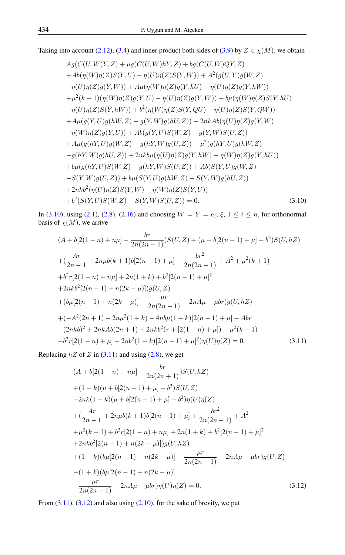Taking into account [\(2.12\)](#page-2-3), [\(3.4\)](#page-3-1) and inner product both sides of [\(3.9\)](#page-3-4) by  $Z \in \chi(M)$ , we obtain

<span id="page-4-0"></span>
$$
A g(C(U,W)Y, Z) + \mu g(C(U,W)hY, Z) + b g(C(U,W)QY, Z)
$$
  
+
$$
A b(\eta(W)\eta(Z)S(Y, U) - \eta(U)\eta(Z)S(Y, W)) + A^2(g(U,Y)g(W, Z)
$$
  
-
$$
\eta(U)\eta(Z)g(Y, W)) + A\mu(\eta(W)\eta(Z)g(Y, hU) - \eta(U)\eta(Z)g(Y, hW))
$$
  
+
$$
\mu^2(k+1)(\eta(W)\eta(Z)g(Y, U) - \eta(U)\eta(Z)g(Y, W)) + b\mu(\eta(W)\eta(Z)S(Y, hU)
$$
  
-
$$
\eta(U)\eta(Z)S(Y, hW)) + b^2(\eta(W)\eta(Z)S(Y, QU) - \eta(U)\eta(Z)S(Y, QW))
$$
  
+
$$
A\mu(g(Y, U)g(hW, Z) - g(Y, W)g(hU, Z)) + 2nkAb(\eta(U)\eta(Z)g(Y, W)
$$
  
-
$$
\eta(W)\eta(Z)g(Y, U)) + Ab(g(Y, U)S(W, Z) - g(Y, W)S(U, Z))
$$
  
+
$$
A\mu(g(hY, U)g(W, Z) - g(hY, W)g(U, Z)) + \mu^2(g(hY, U)g(hW, Z)
$$
  
-
$$
g(hY, W)g(hU, Z)) + 2nkb\mu(\eta(U)\eta(Z)g(Y, hW) - \eta(W)\eta(Z)g(Y, hU))
$$
  
+
$$
b\mu(g(hY, U)S(W, Z) - g(hY, W)S(U, Z)) + Ab(S(Y, U)g(W, Z)
$$
  
-
$$
S(Y, W)g(U, Z)) + b\mu(S(Y, U)g(hW, Z) - S(Y, W)g(hU, Z))
$$
  
+
$$
2nkb^2(\eta(U)\eta(Z)S(Y, W) - \eta(W)\eta(Z)S(Y, U))
$$
  
+
$$
b^2(S(Y, U)S(W, Z) - S(Y, W)S(U, Z)) = 0.
$$
 (3.10)

In [\(3.10\)](#page-4-0), using [\(2.1\)](#page-1-1), [\(2.8\)](#page-2-4), [\(2.16\)](#page-2-0) and choosing  $W = Y = e_i, \xi, 1 \le i \le n$ , for orthonormal basis of  $\chi(M)$ , we arrive

<span id="page-4-1"></span>
$$
(A + b[2(1 - n) + n\mu] - \frac{br}{2n(2n + 1)})S(U, Z) + (\mu + b[2(n - 1) + \mu] - b^2)S(U, hZ)
$$
  
+ 
$$
(\frac{Ar}{2n - 1} + 2n\mu b(k + 1)b[2(n - 1) + \mu] + \frac{br^2}{2n(2n - 1)} + A^2 + \mu^2(k + 1)
$$
  
+ 
$$
b^2r[2(1 - n) + n\mu] + 2n(1 + k) + b^2[2(n - 1) + \mu]^2
$$
  
+ 
$$
2nkb^2[2(n - 1) + n(2k - \mu)]]g(U, Z)
$$
  
+ 
$$
(b\mu[2(n - 1) + n(2k - \mu)] - \frac{\mu r}{2n(2n - 1)} - 2nA\mu - \mu br)g(U, hZ)
$$
  
+ 
$$
(-A^2(2n + 1) - 2n\mu^2(1 + k) - 4n b\mu(1 + k)[2(n - 1) + \mu] - Abr
$$
  
- 
$$
(2nkb)^2 + 2nkAb(2n + 1) + 2nkb^2(r + [2(1 - n) + \mu]) - \mu^2(k + 1)
$$
  
- 
$$
b^2r[2(1 - n) + \mu] - 2nb^2(1 + k)[2(n - 1) + \mu]^2 \eta(U)\eta(Z) = 0.
$$
 (3.11)

Replacing  $hZ$  of  $Z$  in [\(3.11\)](#page-4-1) and using [\(2.8\)](#page-2-4), we get

<span id="page-4-2"></span>
$$
(A + b[2(1 - n) + n\mu] - \frac{br}{2n(2n + 1)})S(U, hZ)
$$
  
+ (1 + k)(\mu + b[2(n - 1) + \mu] - b<sup>2</sup>)S(U, Z)  
-2nk(1 + k)(\mu + b[2(n - 1) + \mu] - b<sup>2</sup>)\eta(U)\eta(Z)  
+ (\frac{Ar}{2n - 1} + 2n\mu b(k + 1)b[2(n - 1) + \mu] + \frac{br^{2}}{2n(2n - 1)} + A<sup>2</sup>  
+ \mu<sup>2</sup>(k + 1) + b<sup>2</sup>r[2(1 - n) + n\mu] + 2n(1 + k) + b<sup>2</sup>[2(n - 1) + \mu]<sup>2</sup>  
+2nkb<sup>2</sup>[2(n - 1) + n(2k - \mu)])g(U, hZ)  
+ (1 + k)(b\mu[2(n - 1) + n(2k - \mu)] - \frac{\mu r}{2n(2n - 1)} - 2nA\mu - \mu br)g(U, Z)  
-(1 + k)(b\mu[2(n - 1) + n(2k - \mu)]  
- \frac{\mu r}{2n(2n - 1)} - 2nA\mu - \mu br)\eta(U)\eta(Z) = 0. (3.12)

From  $(3.11)$ ,  $(3.12)$  and also using  $(2.10)$ , for the sake of brevity, we put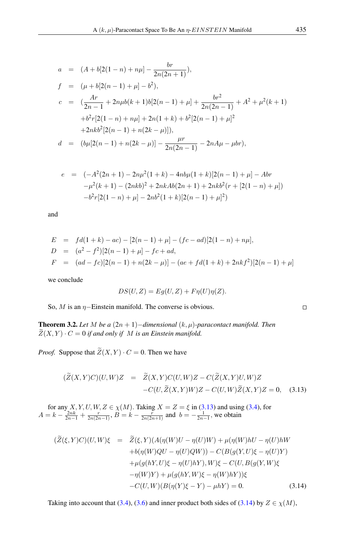$$
a = (A + b[2(1 - n) + n\mu] - \frac{br}{2n(2n + 1)}),
$$
  
\n
$$
f = (\mu + b[2(n - 1) + \mu] - b^2),
$$
  
\n
$$
c = (\frac{Ar}{2n - 1} + 2n\mu b(k + 1)b[2(n - 1) + \mu] + \frac{br^2}{2n(2n - 1)} + A^2 + \mu^2(k + 1))
$$
  
\n
$$
+b^2r[2(1 - n) + n\mu] + 2n(1 + k) + b^2[2(n - 1) + \mu]^2
$$
  
\n
$$
+2nkb^2[2(n - 1) + n(2k - \mu)]),
$$
  
\n
$$
d = (b\mu[2(n - 1) + n(2k - \mu)] - \frac{\mu r}{2n(2n - 1)} - 2nA\mu - \mu br),
$$

$$
e = (-A^2(2n+1) - 2n\mu^2(1+k) - 4nb\mu(1+k)[2(n-1) + \mu] - Abr
$$
  

$$
-\mu^2(k+1) - (2nkb)^2 + 2nkAb(2n+1) + 2nkb^2(r + [2(1-n) + \mu])
$$
  

$$
-b^2r[2(1-n) + \mu] - 2nb^2(1+k)[2(n-1) + \mu]^2)
$$

and

$$
E = fd(1 + k) - ac) - [2(n - 1) + \mu] - (fc - ad)[2(1 - n) + n\mu],
$$
  
\n
$$
D = (a^2 - f^2)[2(n - 1) + \mu] - fc + ad,
$$
  
\n
$$
F = (ad - fc)[2(n - 1) + n(2k - \mu)] - (ae + fd(1 + k) + 2nkf^2)[2(n - 1) + \mu]
$$

we conclude

$$
DS(U, Z) = Eg(U, Z) + F\eta(U)\eta(Z).
$$

So,  $M$  is an  $\eta$ –Einstein manifold. The converse is obvious.

**Theorem 3.2.** *Let M be a* (2*n* + 1)−*dimensional* ( $k, \mu$ )-*paracontact manifold. Then*  $\widetilde{Z}(X, Y) \cdot C = 0$  if and only if M is an Einstein manifold.

*Proof.* Suppose that  $\widetilde{Z}(X, Y) \cdot C = 0$ . Then we have

<span id="page-5-0"></span>
$$
(\widetilde{Z}(X,Y)C)(U,W)Z = \widetilde{Z}(X,Y)C(U,W)Z - C(\widetilde{Z}(X,Y)U,W)Z
$$

$$
-C(U,\widetilde{Z}(X,Y)W)Z - C(U,W)\widetilde{Z}(X,Y)Z = 0, \quad (3.13)
$$

for any  $X, Y, U, W, Z \in \chi(M)$ . Taking  $X = Z = \xi$  in [\(3.13\)](#page-5-0) and using [\(3.4\)](#page-3-1), for  $A = k - \frac{2nk}{2n-1} + \frac{r}{2n(2n-1)}, B = k - \frac{r}{2n(2n+1)}$  and  $b = -\frac{1}{2n-1}$ , we obtain

<span id="page-5-1"></span>
$$
(\widetilde{Z}(\xi,Y)C)(U,W)\xi = \widetilde{Z}(\xi,Y)(A(\eta(W)U - \eta(U)W) + \mu(\eta(W)hU - \eta(U)hW
$$
  
+
$$
+b(\eta(W)QU - \eta(U)QW)) - C(B(g(Y,U)\xi - \eta(U)Y)
$$
  
+
$$
\mu(g(hY,U)\xi - \eta(U)hY), W)\xi - C(U, B(g(Y,W)\xi
$$
  
-
$$
-\eta(W)Y) + \mu(g(hY,W)\xi - \eta(W)hY))\xi
$$
  
-
$$
-C(U,W)(B(\eta(Y)\xi - Y) - \mu hY) = 0.
$$
 (3.14)

Taking into account that [\(3.4\)](#page-3-1), [\(3.6\)](#page-3-5) and inner product both sides of [\(3.14\)](#page-5-1) by  $Z \in \chi(M)$ ,

 $\Box$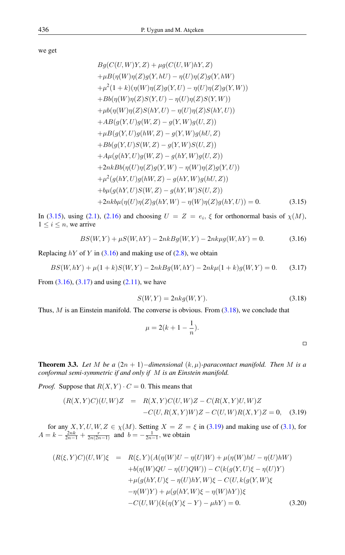we get

<span id="page-6-0"></span>
$$
Bg(C(U, W)Y, Z) + \mu g(C(U, W)hY, Z)
$$
  
+  $\mu B(\eta(W)\eta(Z)g(Y, hU) - \eta(U)\eta(Z)g(Y, hW)$   
+  $\mu^2(1 + k)(\eta(W)\eta(Z)g(Y, U) - \eta(U)\eta(Z)g(Y, W))$   
+  $Bb(\eta(W)\eta(Z)S(Y, U) - \eta(U)\eta(Z)S(Y, W))$   
+  $\mu b(\eta(W)\eta(Z)S(hY, U) - \eta(U)\eta(Z)S(hY, U))$   
+  $AB(g(Y, U)g(W, Z) - g(Y, W)g(U, Z))$   
+  $\mu B(g(Y, U)g(hW, Z) - g(Y, W)g(hU, Z)$   
+  $Bb(g(Y, U)S(W, Z) - g(Y, W)S(U, Z))$   
+  $A\mu(g(hY, U)g(W, Z) - g(hY, W)g(U, Z))$   
+  $2nkBb(\eta(U)\eta(Z)g(Y, W) - \eta(W)\eta(Z)g(Y, U))$   
+  $\mu^2(g(hY, U)g(hW, Z) - g(hY, W)g(hU, Z))$   
+  $b\mu(g(hY, U)S(W, Z) - g(hY, W)S(U, Z))$   
+  $2nkb\mu(\eta(U)\eta(Z)g(hY, W) - \eta(W)\eta(Z)g(hY, U)) = 0.$  (3.15)

In [\(3.15\)](#page-6-0), using [\(2.1\)](#page-1-1), [\(2.16\)](#page-2-0) and choosing  $U = Z = e_i$ ,  $\xi$  for orthonormal basis of  $\chi(M)$ ,  $1 \leq i \leq n$ , we arrive

<span id="page-6-1"></span>
$$
BS(W, Y) + \mu S(W, hY) - 2nkBg(W, Y) - 2nk\mu g(W, hY) = 0.
$$
 (3.16)

Replacing  $hY$  of Y in [\(3.16\)](#page-6-1) and making use of [\(2.8\)](#page-2-4), we obtain

$$
BS(W, hY) + \mu(1+k)S(W, Y) - 2nkBg(W, hY) - 2nk\mu(1+k)g(W, Y) = 0.
$$
 (3.17)

<span id="page-6-3"></span>From  $(3.16)$ ,  $(3.17)$  and using  $(2.11)$ , we have

<span id="page-6-2"></span>
$$
S(W,Y) = 2nkg(W,Y).
$$
\n(3.18)

Thus,  $M$  is an Einstein manifold. The converse is obvious. From  $(3.18)$ , we conclude that

$$
\mu = 2(k+1-\frac{1}{n}).
$$

**Theorem 3.3.** Let M be a  $(2n + 1)$ -dimensional  $(k, \mu)$ -paracontact manifold. Then M is a *conformal semi-symmetric if and only if* M *is an Einstein manifold.*

*Proof.* Suppose that  $R(X, Y) \cdot C = 0$ . This means that

<span id="page-6-4"></span>
$$
(R(X,Y)C)(U,W)Z = R(X,Y)C(U,W)Z - C(R(X,Y)U,W)Z
$$

$$
-C(U,R(X,Y)W)Z - C(U,W)R(X,Y)Z = 0, \quad (3.19)
$$

for any  $X, Y, U, W, Z \in \chi(M)$ . Setting  $X = Z = \xi$  in [\(3.19\)](#page-6-4) and making use of [\(3.1\)](#page-3-0), for  $A = k - \frac{2nk}{2n-1} + \frac{r}{2n(2n-1)}$  and  $b = -\frac{1}{2n-1}$ , we obtain

<span id="page-6-5"></span>
$$
(R(\xi, Y)C)(U, W)\xi = R(\xi, Y)(A(\eta(W)U - \eta(U)W) + \mu(\eta(W)hU - \eta(U)hW) + b(\eta(W)QU - \eta(U)QW)) - C(k(g(Y, U)\xi - \eta(U)Y) + \mu(g(hY, U)\xi - \eta(U)hY, W)\xi - C(U, k(g(Y, W)\xi -\eta(W)Y) + \mu(g(hY, W)\xi - \eta(W)hY))\xi - C(U, W)(k(\eta(Y)\xi - Y) - \mu hY) = 0.
$$
 (3.20)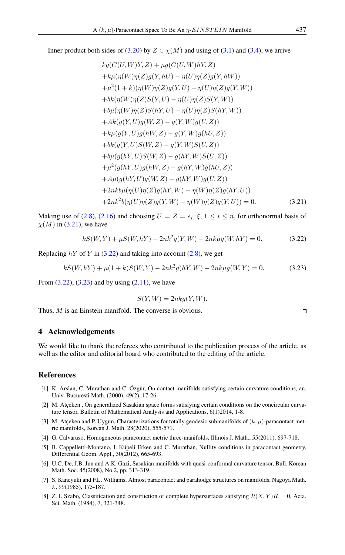Inner product both sides of [\(3.20\)](#page-6-5) by  $Z \in \chi(M)$  and using of [\(3.1\)](#page-3-0) and [\(3.4\)](#page-3-1), we arrive

<span id="page-7-9"></span>
$$
kg(C(U, W)Y, Z) + \mu g(C(U, W)hY, Z)
$$
  
+ $k\mu(\eta(W)\eta(Z)g(Y, hU) - \eta(U)\eta(Z)g(Y, hW))$   
+ $\mu^2(1 + k)(\eta(W)\eta(Z)g(Y, U) - \eta(U)\eta(Z)g(Y, W))$   
+ $bk(\eta(W)\eta(Z)S(Y, U) - \eta(U)\eta(Z)S(Y, W))$   
+ $b\mu(\eta(W)\eta(Z)S(hY, U) - \eta(U)\eta(Z)S(hY, W))$   
+ $Ak(g(Y, U)g(W, Z) - g(Y, W)g(U, Z))$   
+ $k\mu(g(Y, U)g(hW, Z) - g(Y, W)g(hU, Z))$   
+ $bk(g(Y, U)S(W, Z) - g(Y, W)S(U, Z))$   
+ $b\mu(g(hY, U)S(W, Z) - g(hY, W)S(U, Z))$   
+ $\mu^2(g(hY, U)g(hW, Z) - g(hY, W)g(hU, Z))$   
+ $A\mu(g(hY, U)g(W, Z) - g(hY, W)g(U, Z))$   
+ $2nkb\mu(\eta(U)\eta(Z)g(N, W) - \eta(W)\eta(Z)g(N, U))$   
+ $2nk^2b(\eta(U)\eta(Z)g(Y, W) - \eta(W)\eta(Z)g(Y, U)) = 0.$  (3.21)

Making use of [\(2.8\)](#page-2-4), [\(2.16\)](#page-2-0) and choosing  $U = Z = e_i, \xi, 1 \le i \le n$ , for orthonormal basis of  $\chi(M)$  in [\(3.21\)](#page-7-9), we have

<span id="page-7-10"></span>
$$
kS(W,Y) + \mu S(W,hY) - 2nk^2 g(Y,W) - 2nk\mu g(W,hY) = 0.
$$
 (3.22)

Replacing  $hY$  of Y in [\(3.22\)](#page-7-10) and taking into account [\(2.8\)](#page-2-4), we get

$$
kS(W, hY) + \mu(1+k)S(W, Y) - 2nk^2g(hY, W) - 2nk\mu g(W, Y) = 0.
$$
 (3.23)

From  $(3.22)$ ,  $(3.23)$  and by using  $(2.11)$ , we have

<span id="page-7-11"></span>
$$
S(Y, W) = 2nkg(Y, W).
$$

Thus, M is an Einstein manifold. The converse is obvious.

### 4 Acknowledgements

We would like to thank the referees who contributed to the publication process of the article, as well as the editor and editorial board who contributed to the editing of the article.

# <span id="page-7-0"></span>References

- <span id="page-7-7"></span>[1] K. Arslan, C. Murathan and C. Özgür, On contact manifolds satisfying certain curvature conditions, an. Univ. Bucuresti Math. (2000), 49(2), 17-26.
- <span id="page-7-5"></span>[2] M. Atçeken , On generalized Sasakian space forms satisfying certain conditions on the concircular curvature tensor, Bulletin of Mathematical Analysis and Applications, 6(1)2014, 1-8.
- <span id="page-7-2"></span>[3] M. Atçeken and P. Uygun, Characterizations for totally geodesic submanifolds of  $(k, \mu)$ -paracontact metric manifolds, Korcan J. Math. 28(2020), 555-571.
- <span id="page-7-8"></span>[4] G. Calvaruso, Homogeneous paracontact metric three-manifolds, Illinois J. Math., 55(2011), 697-718.
- <span id="page-7-3"></span>[5] B. Cappelletti-Montano, I. Küpeli Erken and C. Murathan, Nullity conditions in paracontact geometry, Differential Geom. Appl., 30(2012), 665-693.
- <span id="page-7-6"></span>[6] U.C. De, J.B. Jun and A.K. Gazi, Sasakian manifolds with quasi-conformal curvature tensor, Bull. Korean Math. Soc. 45(2008), No.2, pp. 313-319.
- <span id="page-7-1"></span>[7] S. Kaneyuki and F.L. Williams, Almost paracontact and parahodge structures on manifolds, Nagoya Math. J., 99(1985), 173-187.
- <span id="page-7-4"></span>[8] Z. I. Szabo, Classification and construction of complete hypersurfaces satisfying  $R(X, Y)R = 0$ , Acta. Sci. Math. (1984), 7, 321-348.

 $\Box$